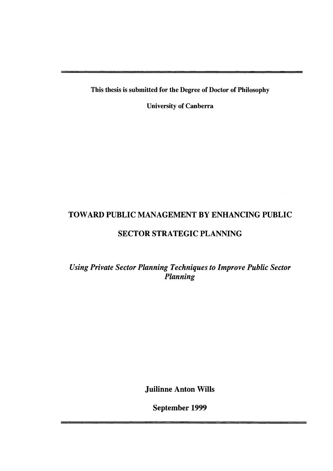This thesis is submitted for the Degree of Doctor of Philosophy

University of Canberra

## TOWARD PUBLIC MANAGEMENT BY ENHANCING PUBLIC

### SECTOR STRATEGIC PLANNING

*Using Private Sector Planning Techniques to Improve Public Sector Planning* 

Juilinne Anton Wills

September 1999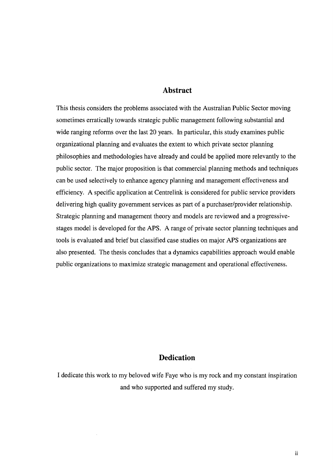#### **Abstract**

This thesis considers the problems associated with the Australian Public Sector moving sometimes erratically towards strategic public management following substantial and wide ranging reforms over the last 20 years. In particular, this study examines public organizational planning and evaluates the extent to which private sector planning philosophies and methodologies have already and could be applied more relevantly to the public sector. The major proposition is that commercial planning methods and techniques can be used selectively to enhance agency planning and management effectiveness and efficiency. A specific application at Centrelink is considered for public service providers delivering high quality government services as part of a purchaser/provider relationship. Strategic planning and management theory and models are reviewed and a progressivestages model is developed for the APS. A range of private sector planning techniques and tools is evaluated and brief but classified case studies on major APS organizations are also presented. The thesis concludes that a dynamics capabilities approach would enable public organizations to maximize strategic management and operational effectiveness.

#### **Dedication**

I dedicate this work to my beloved wife Faye who is my rock and my constant inspiration and who supported and suffered my study.

 $\lambda$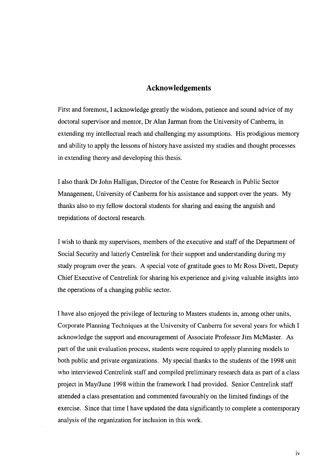#### **Acknowledgements**

First and foremost, I acknowledge greatly the wisdom, patience and sound advice of my doctoral supervisor and mentor, Dr Alan Jarman from the University of Canberra, in extending my intellectual reach and challenging my assumptions. His prodigious memory and ability to apply the lessons of history have assisted my studies and thought processes in extending theory and developing this thesis.

I also thank Dr John Halligan, Director of the Centre for Research in Public Sector Management, University of Canberra for his assistance and support over the years. My thanks also to my fellow doctoral students for sharing and easing the anguish and trepidations of doctoral research.

I wish to thank my supervisors, members of the executive and staff of the Department of Social Security and latterly Centrelink for their support and understanding during my study program over the years. A special vote of gratitude goes to Mr Ross Divett, Deputy Chief Executive of Centrelink for sharing his experience and giving valuable insights into the operations of a changing public sector.

I have also enjoyed the privilege of lecturing to Masters students in, among other units, Corporate Planning Techniques at the University of Canberra for several years for which I acknowledge the support and encouragement of Associate Professor Jim McMaster. As part of the unit evaluation process, students were required to apply planning models to both public and private organizations. My special thanks to the students of the 1998 unit who interviewed Centrelink staff and compiled preliminary research data as part of a class project in May/June 1998 within the framework I had provided. Senior Centrelink staff attended a class presentation and commented favourably on the limited findings of the exercise. Since that time I have updated the data significantly to complete a contemporary analysis of the organization for inclusion in this work.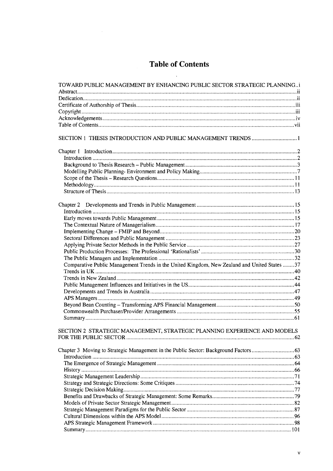# **Table of Contents**

 $\sim$   $\sim$ 

 $\sim 10^6$ 

| TOWARD PUBLIC MANAGEMENT BY ENHANCING PUBLIC SECTOR STRATEGIC PLANNINGi                      |  |
|----------------------------------------------------------------------------------------------|--|
|                                                                                              |  |
|                                                                                              |  |
|                                                                                              |  |
|                                                                                              |  |
|                                                                                              |  |
|                                                                                              |  |
|                                                                                              |  |
|                                                                                              |  |
|                                                                                              |  |
|                                                                                              |  |
|                                                                                              |  |
|                                                                                              |  |
|                                                                                              |  |
|                                                                                              |  |
|                                                                                              |  |
|                                                                                              |  |
|                                                                                              |  |
|                                                                                              |  |
|                                                                                              |  |
|                                                                                              |  |
|                                                                                              |  |
|                                                                                              |  |
|                                                                                              |  |
|                                                                                              |  |
| Comparative Public Management Trends in the United Kingdom, New Zealand and United States 37 |  |
|                                                                                              |  |
|                                                                                              |  |
|                                                                                              |  |
|                                                                                              |  |
|                                                                                              |  |
|                                                                                              |  |
|                                                                                              |  |
|                                                                                              |  |
| SECTION 2 STRATEGIC MANAGEMENT. STRATEGIC PLANNING EXPERIENCE AND MODELS                     |  |
|                                                                                              |  |
|                                                                                              |  |
|                                                                                              |  |
|                                                                                              |  |
|                                                                                              |  |
|                                                                                              |  |
|                                                                                              |  |
|                                                                                              |  |
|                                                                                              |  |
|                                                                                              |  |
|                                                                                              |  |
|                                                                                              |  |
|                                                                                              |  |
|                                                                                              |  |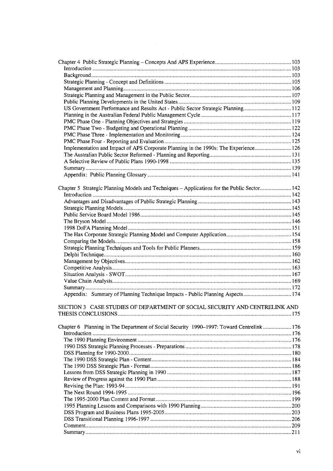| US Government Performance and Results Act - Public Sector Strategic Planning112             |  |
|---------------------------------------------------------------------------------------------|--|
|                                                                                             |  |
|                                                                                             |  |
|                                                                                             |  |
|                                                                                             |  |
|                                                                                             |  |
| Implementation and Impact of APS Corporate Planning in the 1990s: The Experience 126        |  |
|                                                                                             |  |
|                                                                                             |  |
|                                                                                             |  |
|                                                                                             |  |
|                                                                                             |  |
| Chapter 5 Strategic Planning Models and Techniques - Applications for the Public Sector 142 |  |
|                                                                                             |  |
|                                                                                             |  |
|                                                                                             |  |
|                                                                                             |  |
|                                                                                             |  |
|                                                                                             |  |
|                                                                                             |  |
|                                                                                             |  |
|                                                                                             |  |
|                                                                                             |  |
|                                                                                             |  |
|                                                                                             |  |
|                                                                                             |  |
|                                                                                             |  |
|                                                                                             |  |
| Appendix: Summary of Planning Technique Impacts - Public Planning Aspects 174               |  |
| SECTION 3 CASE STUDIES OF DEPARTMENT OF SOCIAL SECURITY AND CENTRELINK AND                  |  |
| Chapter 6 Planning in The Department of Social Security 1990–1997: Toward Centrelink 176    |  |
|                                                                                             |  |
|                                                                                             |  |
|                                                                                             |  |
|                                                                                             |  |
|                                                                                             |  |
|                                                                                             |  |
|                                                                                             |  |
|                                                                                             |  |
|                                                                                             |  |
|                                                                                             |  |
|                                                                                             |  |
|                                                                                             |  |
|                                                                                             |  |
|                                                                                             |  |
|                                                                                             |  |
|                                                                                             |  |